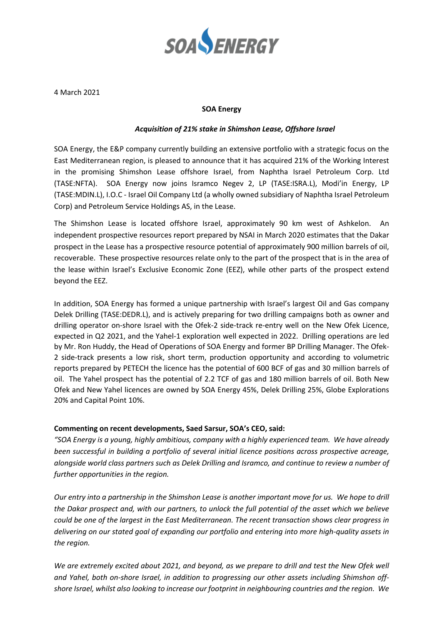

4 March 2021

## **SOA Energy**

## *Acquisition of 21% stake in Shimshon Lease, Offshore Israel*

SOA Energy, the E&P company currently building an extensive portfolio with a strategic focus on the East Mediterranean region, is pleased to announce that it has acquired 21% of the Working Interest in the promising Shimshon Lease offshore Israel, from Naphtha Israel Petroleum Corp. Ltd (TASE:NFTA). SOA Energy now joins Isramco Negev 2, LP (TASE:ISRA.L), Modi'in Energy, LP (TASE:MDIN.L), I.O.C - Israel Oil Company Ltd (a wholly owned subsidiary of Naphtha Israel Petroleum Corp) and Petroleum Service Holdings AS, in the Lease.

The Shimshon Lease is located offshore Israel, approximately 90 km west of Ashkelon. An independent prospective resources report prepared by NSAI in March 2020 estimates that the Dakar prospect in the Lease has a prospective resource potential of approximately 900 million barrels of oil, recoverable. These prospective resources relate only to the part of the prospect that is in the area of the lease within Israel's Exclusive Economic Zone (EEZ), while other parts of the prospect extend beyond the EEZ.

In addition, SOA Energy has formed a unique partnership with Israel's largest Oil and Gas company Delek Drilling (TASE:DEDR.L), and is actively preparing for two drilling campaigns both as owner and drilling operator on-shore Israel with the Ofek-2 side-track re-entry well on the New Ofek Licence, expected in Q2 2021, and the Yahel-1 exploration well expected in 2022. Drilling operations are led by Mr. Ron Huddy, the Head of Operations of SOA Energy and former BP Drilling Manager. The Ofek-2 side-track presents a low risk, short term, production opportunity and according to volumetric reports prepared by PETECH the licence has the potential of 600 BCF of gas and 30 million barrels of oil. The Yahel prospect has the potential of 2.2 TCF of gas and 180 million barrels of oil. Both New Ofek and New Yahel licences are owned by SOA Energy 45%, Delek Drilling 25%, Globe Explorations 20% and Capital Point 10%.

## **Commenting on recent developments, Saed Sarsur, SOA's CEO, said:**

*"SOA Energy is a young, highly ambitious, company with a highly experienced team. We have already been successful in building a portfolio of several initial licence positions across prospective acreage, alongside world class partners such as Delek Drilling and Isramco, and continue to review a number of further opportunities in the region.* 

*Our entry into a partnership in the Shimshon Lease is another important move for us. We hope to drill the Dakar prospect and, with our partners, to unlock the full potential of the asset which we believe could be one of the largest in the East Mediterranean. The recent transaction shows clear progress in delivering on our stated goal of expanding our portfolio and entering into more high-quality assets in the region.*

*We are extremely excited about 2021, and beyond, as we prepare to drill and test the New Ofek well and Yahel, both on-shore Israel, in addition to progressing our other assets including Shimshon offshore Israel, whilst also looking to increase our footprint in neighbouring countries and the region. We*